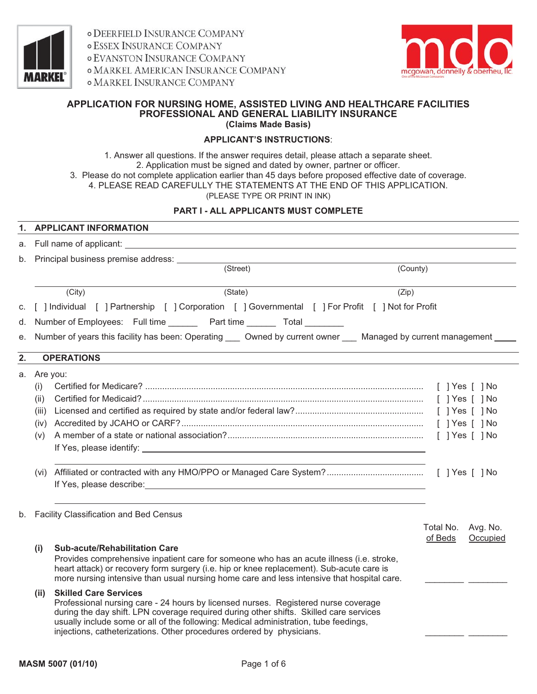

**ODEERFIELD INSURANCE COMPANY o ESSEX INSURANCE COMPANY o EVANSTON INSURANCE COMPANY O MARKEL AMERICAN INSURANCE COMPANY OMARKEL INSURANCE COMPANY** 



#### **APPLICATION FOR NURSING HOME, ASSISTED LIVING AND HEALTHCARE FACILITIES PROFESSIONAL AND GENERAL LIABILITY INSURANCE (Claims Made Basis)**

# **APPLICANT'S INSTRUCTIONS**:

1. Answer all questions. If the answer requires detail, please attach a separate sheet. 2. Application must be signed and dated by owner, partner or officer. 3. Please do not complete application earlier than 45 days before proposed effective date of coverage. 4. PLEASE READ CAREFULLY THE STATEMENTS AT THE END OF THIS APPLICATION. (PLEASE TYPE OR PRINT IN INK)

### **PART I - ALL APPLICANTS MUST COMPLETE**

| 1. |                                                    | <b>APPLICANT INFORMATION</b>                                                                                                                                                                                                                                                                                                                                                  |                      |                      |
|----|----------------------------------------------------|-------------------------------------------------------------------------------------------------------------------------------------------------------------------------------------------------------------------------------------------------------------------------------------------------------------------------------------------------------------------------------|----------------------|----------------------|
|    |                                                    | a. Full name of applicant: example of the state of the state of the state of the state of the state of the state of the state of the state of the state of the state of the state of the state of the state of the state of th                                                                                                                                                |                      |                      |
|    |                                                    | (Street)<br>(County)                                                                                                                                                                                                                                                                                                                                                          |                      |                      |
|    |                                                    | (State)<br>(City)<br>(Zip)                                                                                                                                                                                                                                                                                                                                                    |                      |                      |
| C. |                                                    | [   Individual     Partnership     Corporation     Governmental     For Profit     Not for Profit                                                                                                                                                                                                                                                                             |                      |                      |
| d. |                                                    | Number of Employees: Full time Part time Total                                                                                                                                                                                                                                                                                                                                |                      |                      |
| е. |                                                    | Number of years this facility has been: Operating ___ Owned by current owner ___ Managed by current management                                                                                                                                                                                                                                                                |                      |                      |
| 2. |                                                    | <b>OPERATIONS</b>                                                                                                                                                                                                                                                                                                                                                             |                      |                      |
|    | a. Are you:<br>(i)<br>(ii)<br>(iii)<br>(iv)<br>(v) |                                                                                                                                                                                                                                                                                                                                                                               |                      |                      |
|    |                                                    | b. Facility Classification and Bed Census                                                                                                                                                                                                                                                                                                                                     | Total No.<br>of Beds | Avg. No.<br>Occupied |
|    | (i)                                                | <b>Sub-acute/Rehabilitation Care</b><br>Provides comprehensive inpatient care for someone who has an acute illness (i.e. stroke,<br>heart attack) or recovery form surgery (i.e. hip or knee replacement). Sub-acute care is<br>more nursing intensive than usual nursing home care and less intensive that hospital care.                                                    |                      |                      |
|    | (ii)                                               | <b>Skilled Care Services</b><br>Professional nursing care - 24 hours by licensed nurses. Registered nurse coverage<br>during the day shift. LPN coverage required during other shifts. Skilled care services<br>usually include some or all of the following: Medical administration, tube feedings,<br>injections, catheterizations. Other procedures ordered by physicians. |                      |                      |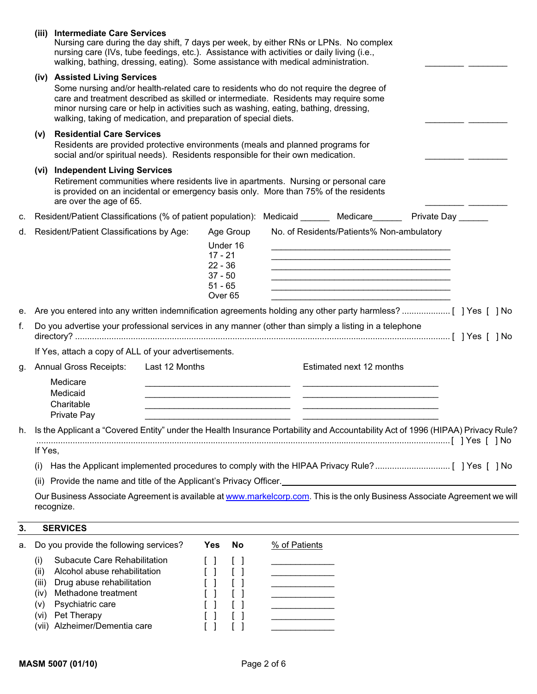|    |                                                                                                                                          | (iii) Intermediate Care Services<br>Nursing care during the day shift, 7 days per week, by either RNs or LPNs. No complex<br>nursing care (IVs, tube feedings, etc.). Assistance with activities or daily living (i.e.,<br>walking, bathing, dressing, eating). Some assistance with medical administration.                                                              |                                                                                                                                                                                                                                                                                                                                                  |                                                                                                                                                                                 |                                                                                                                                                                                                                                                                                                                                                                                               |  |  |  |  |
|----|------------------------------------------------------------------------------------------------------------------------------------------|---------------------------------------------------------------------------------------------------------------------------------------------------------------------------------------------------------------------------------------------------------------------------------------------------------------------------------------------------------------------------|--------------------------------------------------------------------------------------------------------------------------------------------------------------------------------------------------------------------------------------------------------------------------------------------------------------------------------------------------|---------------------------------------------------------------------------------------------------------------------------------------------------------------------------------|-----------------------------------------------------------------------------------------------------------------------------------------------------------------------------------------------------------------------------------------------------------------------------------------------------------------------------------------------------------------------------------------------|--|--|--|--|
|    |                                                                                                                                          | (iv) Assisted Living Services<br>Some nursing and/or health-related care to residents who do not require the degree of<br>care and treatment described as skilled or intermediate. Residents may require some<br>minor nursing care or help in activities such as washing, eating, bathing, dressing,<br>walking, taking of medication, and preparation of special diets. |                                                                                                                                                                                                                                                                                                                                                  |                                                                                                                                                                                 |                                                                                                                                                                                                                                                                                                                                                                                               |  |  |  |  |
|    | (v)                                                                                                                                      | <b>Residential Care Services</b><br>Residents are provided protective environments (meals and planned programs for<br>social and/or spiritual needs). Residents responsible for their own medication.                                                                                                                                                                     |                                                                                                                                                                                                                                                                                                                                                  |                                                                                                                                                                                 |                                                                                                                                                                                                                                                                                                                                                                                               |  |  |  |  |
|    |                                                                                                                                          | (vi) Independent Living Services<br>Retirement communities where residents live in apartments. Nursing or personal care<br>is provided on an incidental or emergency basis only. More than 75% of the residents<br>are over the age of 65.                                                                                                                                |                                                                                                                                                                                                                                                                                                                                                  |                                                                                                                                                                                 |                                                                                                                                                                                                                                                                                                                                                                                               |  |  |  |  |
| c. |                                                                                                                                          | Resident/Patient Classifications (% of patient population): Medicaid ______ Medicare______ Private Day ______                                                                                                                                                                                                                                                             |                                                                                                                                                                                                                                                                                                                                                  |                                                                                                                                                                                 |                                                                                                                                                                                                                                                                                                                                                                                               |  |  |  |  |
| d. |                                                                                                                                          | Resident/Patient Classifications by Age:                                                                                                                                                                                                                                                                                                                                  | Age Group<br>Under 16<br>$17 - 21$<br>$22 - 36$<br>$37 - 50$<br>$51 - 65$<br>Over <sub>65</sub>                                                                                                                                                                                                                                                  |                                                                                                                                                                                 | No. of Residents/Patients% Non-ambulatory<br>the contract of the contract of the contract of the contract of the contract of the contract of the contract of<br>the control of the control of the control of the control of the control of the control of the control of the control of the control of the control of the control of the control of the control of the control of the control |  |  |  |  |
| е. |                                                                                                                                          |                                                                                                                                                                                                                                                                                                                                                                           |                                                                                                                                                                                                                                                                                                                                                  |                                                                                                                                                                                 |                                                                                                                                                                                                                                                                                                                                                                                               |  |  |  |  |
| f. |                                                                                                                                          | Do you advertise your professional services in any manner (other than simply a listing in a telephone                                                                                                                                                                                                                                                                     |                                                                                                                                                                                                                                                                                                                                                  |                                                                                                                                                                                 |                                                                                                                                                                                                                                                                                                                                                                                               |  |  |  |  |
|    |                                                                                                                                          | If Yes, attach a copy of ALL of your advertisements.                                                                                                                                                                                                                                                                                                                      |                                                                                                                                                                                                                                                                                                                                                  |                                                                                                                                                                                 |                                                                                                                                                                                                                                                                                                                                                                                               |  |  |  |  |
| g. |                                                                                                                                          | <b>Annual Gross Receipts:</b><br>Last 12 Months                                                                                                                                                                                                                                                                                                                           |                                                                                                                                                                                                                                                                                                                                                  |                                                                                                                                                                                 | Estimated next 12 months                                                                                                                                                                                                                                                                                                                                                                      |  |  |  |  |
|    |                                                                                                                                          | Medicare<br>Medicaid<br>Charitable<br>Private Pay                                                                                                                                                                                                                                                                                                                         |                                                                                                                                                                                                                                                                                                                                                  |                                                                                                                                                                                 |                                                                                                                                                                                                                                                                                                                                                                                               |  |  |  |  |
| h. |                                                                                                                                          | Is the Applicant a "Covered Entity" under the Health Insurance Portability and Accountability Act of 1996 (HIPAA) Privacy Rule?                                                                                                                                                                                                                                           |                                                                                                                                                                                                                                                                                                                                                  |                                                                                                                                                                                 |                                                                                                                                                                                                                                                                                                                                                                                               |  |  |  |  |
|    | If Yes,                                                                                                                                  |                                                                                                                                                                                                                                                                                                                                                                           |                                                                                                                                                                                                                                                                                                                                                  |                                                                                                                                                                                 |                                                                                                                                                                                                                                                                                                                                                                                               |  |  |  |  |
|    | (1)                                                                                                                                      |                                                                                                                                                                                                                                                                                                                                                                           |                                                                                                                                                                                                                                                                                                                                                  |                                                                                                                                                                                 |                                                                                                                                                                                                                                                                                                                                                                                               |  |  |  |  |
|    | Provide the name and title of the Applicant's Privacy Officer. <u>Community Community Community Community Community</u><br>(ii)          |                                                                                                                                                                                                                                                                                                                                                                           |                                                                                                                                                                                                                                                                                                                                                  |                                                                                                                                                                                 |                                                                                                                                                                                                                                                                                                                                                                                               |  |  |  |  |
|    | Our Business Associate Agreement is available at www.markelcorp.com. This is the only Business Associate Agreement we will<br>recognize. |                                                                                                                                                                                                                                                                                                                                                                           |                                                                                                                                                                                                                                                                                                                                                  |                                                                                                                                                                                 |                                                                                                                                                                                                                                                                                                                                                                                               |  |  |  |  |
| 3. |                                                                                                                                          | <b>SERVICES</b>                                                                                                                                                                                                                                                                                                                                                           |                                                                                                                                                                                                                                                                                                                                                  |                                                                                                                                                                                 |                                                                                                                                                                                                                                                                                                                                                                                               |  |  |  |  |
| а. |                                                                                                                                          | Do you provide the following services?                                                                                                                                                                                                                                                                                                                                    | <b>Yes</b><br><b>No</b>                                                                                                                                                                                                                                                                                                                          | % of Patients                                                                                                                                                                   |                                                                                                                                                                                                                                                                                                                                                                                               |  |  |  |  |
|    | (i)<br>(ii)<br>(iii)<br>(iv)<br>(v)<br>(vi)                                                                                              | Subacute Care Rehabilitation<br>Alcohol abuse rehabilitation<br>Drug abuse rehabilitation<br>Methadone treatment<br>Psychiatric care<br>Pet Therapy<br>(vii) Alzheimer/Dementia care                                                                                                                                                                                      | $\Box$<br>l I<br>$\begin{bmatrix} \end{bmatrix}$<br>$\begin{bmatrix} \end{bmatrix}$<br>$\begin{bmatrix} \end{bmatrix}$<br>$\begin{bmatrix} \end{bmatrix}$<br>$\begin{bmatrix} \end{bmatrix}$<br>$\begin{bmatrix} \end{bmatrix}$<br>$\begin{bmatrix} \end{bmatrix}$<br>$\begin{bmatrix} 1 \end{bmatrix}$<br>$\begin{bmatrix} \\ \\ \end{bmatrix}$ | <u> 1989 - Johann Barnett, martin e</u><br><u> 1980 - Johann Barnett, fransk politiker</u><br>the control of the control of the<br>the control of the control of the control of |                                                                                                                                                                                                                                                                                                                                                                                               |  |  |  |  |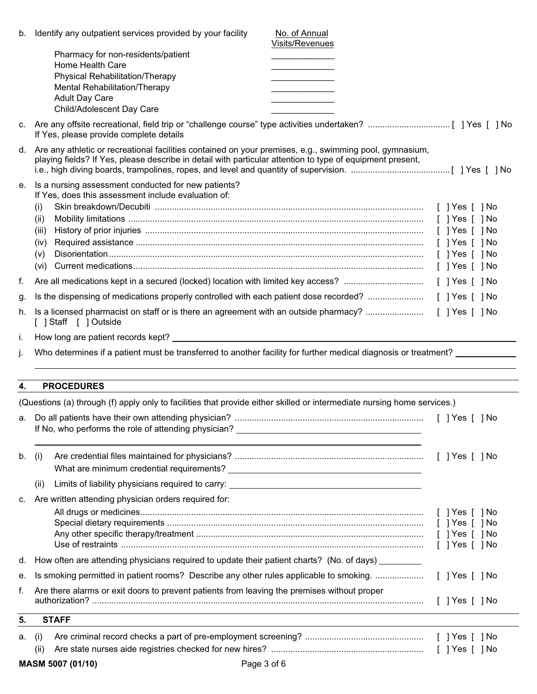|          | Page 3 of 6<br>MASM 5007 (01/10)                                                                                                                                                                                                                                               |                 |                                                                                      |
|----------|--------------------------------------------------------------------------------------------------------------------------------------------------------------------------------------------------------------------------------------------------------------------------------|-----------------|--------------------------------------------------------------------------------------|
|          | (ii)                                                                                                                                                                                                                                                                           |                 |                                                                                      |
| а.       | (i)                                                                                                                                                                                                                                                                            |                 |                                                                                      |
| 5.       | <b>STAFF</b>                                                                                                                                                                                                                                                                   |                 |                                                                                      |
| f.       | Are there alarms or exit doors to prevent patients from leaving the premises without proper                                                                                                                                                                                    |                 | $[$ ] Yes $[$ ] No                                                                   |
| е.       | Is smoking permitted in patient rooms? Describe any other rules applicable to smoking.                                                                                                                                                                                         |                 | $[$ ] Yes $[$ ] No                                                                   |
| d.       | How often are attending physicians required to update their patient charts? (No. of days) _______                                                                                                                                                                              |                 |                                                                                      |
|          |                                                                                                                                                                                                                                                                                |                 | $[$ ] Yes $[$ ] No<br>$[$ ] Yes $[$ ] No<br>$[$ ] Yes $[$ ] No<br>$[$ ] Yes $[$ ] No |
| c.       | Are written attending physician orders required for:                                                                                                                                                                                                                           |                 |                                                                                      |
|          | Limits of liability physicians required to carry: Lattitude of the control of the control of the control of the control of the control of the control of the control of the control of the control of the control of the contr<br>(ii)                                         |                 |                                                                                      |
| b.       | (i)                                                                                                                                                                                                                                                                            |                 |                                                                                      |
|          | (Questions (a) through (f) apply only to facilities that provide either skilled or intermediate nursing home services.)<br>If No, who performs the role of attending physician?                                                                                                |                 | [ ] Yes [ ] No                                                                       |
| 4.       | <b>PROCEDURES</b>                                                                                                                                                                                                                                                              |                 |                                                                                      |
| İ.<br>j. | Who determines if a patient must be transferred to another facility for further medical diagnosis or treatment? ____________                                                                                                                                                   |                 |                                                                                      |
|          | [ ] Staff [ ] Outside                                                                                                                                                                                                                                                          |                 |                                                                                      |
| g.<br>h. |                                                                                                                                                                                                                                                                                |                 |                                                                                      |
| f.       |                                                                                                                                                                                                                                                                                |                 |                                                                                      |
|          |                                                                                                                                                                                                                                                                                |                 |                                                                                      |
|          | (iv)<br>(V)                                                                                                                                                                                                                                                                    |                 |                                                                                      |
|          | (iii)                                                                                                                                                                                                                                                                          |                 |                                                                                      |
|          | If Yes, does this assessment include evaluation of:<br>(i)<br>(ii)                                                                                                                                                                                                             |                 |                                                                                      |
| е.       | d. Are any athletic or recreational facilities contained on your premises, e.g., swimming pool, gymnasium,<br>playing fields? If Yes, please describe in detail with particular attention to type of equipment present,<br>Is a nursing assessment conducted for new patients? |                 |                                                                                      |
|          | If Yes, please provide complete details                                                                                                                                                                                                                                        |                 |                                                                                      |
|          | Physical Rehabilitation/Therapy<br>Mental Rehabilitation/Therapy<br><b>Adult Day Care</b><br>Child/Adolescent Day Care                                                                                                                                                         |                 |                                                                                      |
|          | Pharmacy for non-residents/patient<br>Home Health Care                                                                                                                                                                                                                         | Visits/Revenues |                                                                                      |
|          | b. Identify any outpatient services provided by your facility                                                                                                                                                                                                                  | No. of Annual   |                                                                                      |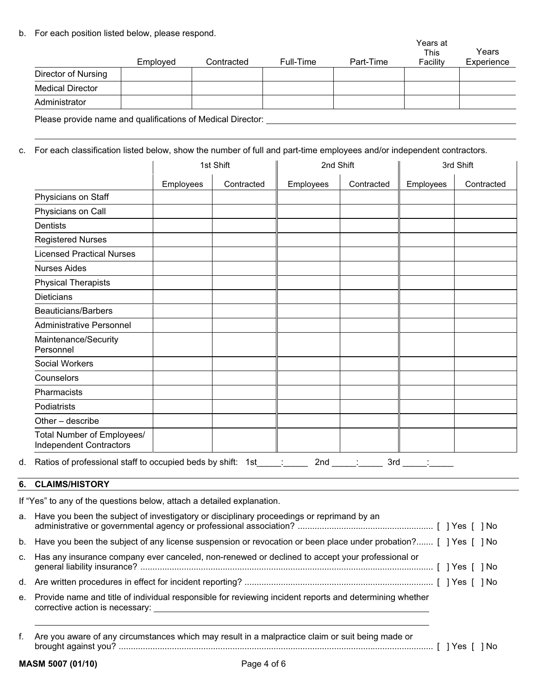b. For each position listed below, please respond.

|                         | Employed | Contracted | Full-Time | Part-Time | Years at<br><b>This</b><br>Facility | Years<br>Experience |
|-------------------------|----------|------------|-----------|-----------|-------------------------------------|---------------------|
| Director of Nursing     |          |            |           |           |                                     |                     |
| <b>Medical Director</b> |          |            |           |           |                                     |                     |
| Administrator           |          |            |           |           |                                     |                     |

Please provide name and qualifications of Medical Director:

c. For each classification listed below, show the number of full and part-time employees and/or independent contractors.

|                                                              |           | 1st Shift  | 2nd Shift |            | 3rd Shift |            |
|--------------------------------------------------------------|-----------|------------|-----------|------------|-----------|------------|
|                                                              | Employees | Contracted | Employees | Contracted | Employees | Contracted |
| Physicians on Staff                                          |           |            |           |            |           |            |
| Physicians on Call                                           |           |            |           |            |           |            |
| Dentists                                                     |           |            |           |            |           |            |
| <b>Registered Nurses</b>                                     |           |            |           |            |           |            |
| <b>Licensed Practical Nurses</b>                             |           |            |           |            |           |            |
| <b>Nurses Aides</b>                                          |           |            |           |            |           |            |
| <b>Physical Therapists</b>                                   |           |            |           |            |           |            |
| <b>Dieticians</b>                                            |           |            |           |            |           |            |
| <b>Beauticians/Barbers</b>                                   |           |            |           |            |           |            |
| <b>Administrative Personnel</b>                              |           |            |           |            |           |            |
| Maintenance/Security<br>Personnel                            |           |            |           |            |           |            |
| <b>Social Workers</b>                                        |           |            |           |            |           |            |
| Counselors                                                   |           |            |           |            |           |            |
| Pharmacists                                                  |           |            |           |            |           |            |
| Podiatrists                                                  |           |            |           |            |           |            |
| Other - describe                                             |           |            |           |            |           |            |
| Total Number of Employees/<br><b>Independent Contractors</b> |           |            |           |            |           |            |

### **6. CLAIMS/HISTORY**

If "Yes" to any of the questions below, attach a detailed explanation.

| a. Have you been the subject of investigatory or disciplinary proceedings or reprimand by an                       |  |  |
|--------------------------------------------------------------------------------------------------------------------|--|--|
| b. Have you been the subject of any license suspension or revocation or been place under probation? [ ] Yes [ ] No |  |  |
| c. Has any insurance company ever canceled, non-renewed or declined to accept your professional or                 |  |  |
|                                                                                                                    |  |  |
| e. Provide name and title of individual responsible for reviewing incident reports and determining whether         |  |  |
|                                                                                                                    |  |  |

f. Are you aware of any circumstances which may result in a malpractice claim or suit being made or brought against you? .................................................................................................................................. [ ] Yes [ ] No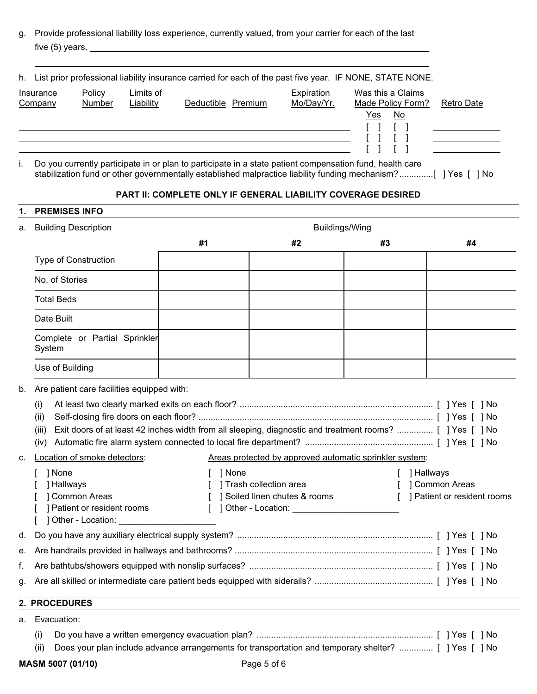g. Provide professional liability loss experience, currently valued, from your carrier for each of the last five (5) years.

|                      |                  |                        | h. List prior professional liability insurance carried for each of the past five year. IF NONE, STATE NONE. |                          |                                                                          |  |
|----------------------|------------------|------------------------|-------------------------------------------------------------------------------------------------------------|--------------------------|--------------------------------------------------------------------------|--|
| Insurance<br>Company | Policy<br>Number | Limits of<br>Liability | Deductible Premium                                                                                          | Expiration<br>Mo/Day/Yr. | Was this a Claims<br>Made Policy Form?<br><b>Retro Date</b><br>Yes<br>No |  |
|                      |                  |                        |                                                                                                             |                          |                                                                          |  |

i. Do you currently participate in or plan to participate in a state patient compensation fund, health care stabilization fund or other governmentally established malpractice liability funding mechanism?..............[ ] Yes [ ] No

### **PART II: COMPLETE ONLY IF GENERAL LIABILITY COVERAGE DESIRED**

#### **1. PREMISES INFO**

| a. | <b>Building Description</b>                                                                                                                                                             | Buildings/Wing |                                                                                                  |              |                                                               |  |  |  |
|----|-----------------------------------------------------------------------------------------------------------------------------------------------------------------------------------------|----------------|--------------------------------------------------------------------------------------------------|--------------|---------------------------------------------------------------|--|--|--|
|    |                                                                                                                                                                                         | #1             | #2                                                                                               | #3           | #4                                                            |  |  |  |
|    | <b>Type of Construction</b>                                                                                                                                                             |                |                                                                                                  |              |                                                               |  |  |  |
|    | No. of Stories                                                                                                                                                                          |                |                                                                                                  |              |                                                               |  |  |  |
|    | <b>Total Beds</b>                                                                                                                                                                       |                |                                                                                                  |              |                                                               |  |  |  |
|    | Date Built                                                                                                                                                                              |                |                                                                                                  |              |                                                               |  |  |  |
|    | Complete or Partial Sprinkler<br>System                                                                                                                                                 |                |                                                                                                  |              |                                                               |  |  |  |
|    | Use of Building                                                                                                                                                                         |                |                                                                                                  |              |                                                               |  |  |  |
| b. | Are patient care facilities equipped with:<br>(i)<br>(ii)<br>Exit doors of at least 42 inches width from all sleeping, diagnostic and treatment rooms?  [ ] Yes [ ] No<br>(iii)<br>(iv) |                |                                                                                                  |              |                                                               |  |  |  |
| C. | Location of smoke detectors:                                                                                                                                                            |                | Areas protected by approved automatic sprinkler system:                                          |              |                                                               |  |  |  |
|    | 1 None<br>Hallways<br><b>Common Areas</b><br>Patient or resident rooms<br>] Other - Location:                                                                                           | 1 None         | ] Trash collection area<br>] Soiled linen chutes & rooms<br>] Other - Location: ________________ | $\mathbf{L}$ | [ ] Hallways<br>] Common Areas<br>] Patient or resident rooms |  |  |  |
| d. |                                                                                                                                                                                         |                |                                                                                                  |              |                                                               |  |  |  |
| е. |                                                                                                                                                                                         |                |                                                                                                  |              |                                                               |  |  |  |
| f. |                                                                                                                                                                                         |                |                                                                                                  |              |                                                               |  |  |  |
| g. |                                                                                                                                                                                         |                |                                                                                                  |              |                                                               |  |  |  |
|    | 2. PROCEDURES                                                                                                                                                                           |                |                                                                                                  |              |                                                               |  |  |  |
|    | a. Evacuation:                                                                                                                                                                          |                |                                                                                                  |              |                                                               |  |  |  |